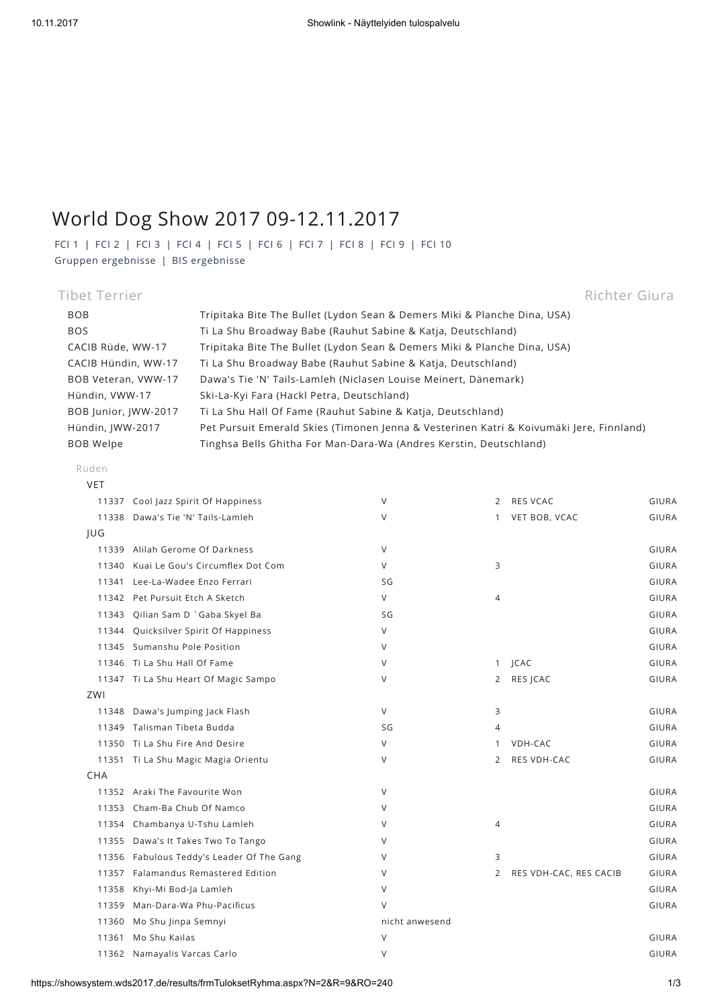## World Dog Show 2017 09-12.11.2017

[FCI](https://showsystem.wds2017.de/results/frmTuloksetRyhma.aspx?N=2&R=1) 1 | [FCI](https://showsystem.wds2017.de/results/frmTuloksetRyhma.aspx?N=2&R=2) 2 | [FCI](https://showsystem.wds2017.de/results/frmTuloksetRyhma.aspx?N=2&R=3) 3 | [FCI](https://showsystem.wds2017.de/results/frmTuloksetRyhma.aspx?N=2&R=4) 4 | [FCI](https://showsystem.wds2017.de/results/frmTuloksetRyhma.aspx?N=2&R=5) 5 | [FCI](https://showsystem.wds2017.de/results/frmTuloksetRyhma.aspx?N=2&R=6) 6 | [FCI](https://showsystem.wds2017.de/results/frmTuloksetRyhma.aspx?N=2&R=7) 7 | [FCI](https://showsystem.wds2017.de/results/frmTuloksetRyhma.aspx?N=2&R=8) 8 | [FCI](https://showsystem.wds2017.de/results/frmTuloksetRyhma.aspx?N=2&R=9) 9 | [FCI](https://showsystem.wds2017.de/results/frmTuloksetRyhma.aspx?N=2&R=10) 10 Gruppen [ergebnisse](https://showsystem.wds2017.de/results/frmTuloksetRyhma.aspx?N=2&R=RYP) | BIS [ergebnisse](https://showsystem.wds2017.de/results/frmTuloksetRyhma.aspx?N=2&R=BIS)

| Tibet Terrier        |                                                                                         | Richter Giura |
|----------------------|-----------------------------------------------------------------------------------------|---------------|
| <b>BOB</b>           | Tripitaka Bite The Bullet (Lydon Sean & Demers Miki & Planche Dina, USA)                |               |
| <b>BOS</b>           | Ti La Shu Broadway Babe (Rauhut Sabine & Katia, Deutschland)                            |               |
| CACIB Rüde, WW-17    | Tripitaka Bite The Bullet (Lydon Sean & Demers Miki & Planche Dina, USA)                |               |
| CACIB Hündin, WW-17  | Ti La Shu Broadway Babe (Rauhut Sabine & Katja, Deutschland)                            |               |
| BOB Veteran, VWW-17  | Dawa's Tie 'N' Tails-Lamleh (Niclasen Louise Meinert, Dänemark)                         |               |
| Hündin, VWW-17       | Ski-La-Kyi Fara (Hackl Petra, Deutschland)                                              |               |
| BOB Junior, JWW-2017 | Ti La Shu Hall Of Fame (Rauhut Sabine & Katja, Deutschland)                             |               |
| Hündin, IWW-2017     | Pet Pursuit Emerald Skies (Timonen Jenna & Vesterinen Katri & Koivumäki Jere, Finnland) |               |
| <b>BOB Welpe</b>     | Tinghsa Bells Ghitha For Man-Dara-Wa (Andres Kerstin, Deutschland)                      |               |

## Rüden

| <b>VET</b> |                                           |                |                |                        |              |
|------------|-------------------------------------------|----------------|----------------|------------------------|--------------|
| 11337      | Cool Jazz Spirit Of Happiness             | V              | 2              | RES VCAC               | GIURA        |
| 11338      | Dawa's Tie 'N' Tails-Lamleh               | $\vee$         | $\mathbf{1}$   | VET BOB, VCAC          | GIURA        |
| JUG        |                                           |                |                |                        |              |
| 11339      | Alilah Gerome Of Darkness                 | V              |                |                        | GIURA        |
| 11340      | Kuai Le Gou's Circumflex Dot Com          | V              | 3              |                        | GIURA        |
| 11341      | Lee-La-Wadee Enzo Ferrari                 | SG             |                |                        | GIURA        |
| 11342      | Pet Pursuit Etch A Sketch                 | V              | $\overline{4}$ |                        | GIURA        |
| 11343      | Qilian Sam D 'Gaba Skyel Ba               | SG             |                |                        | GIURA        |
| 11344      | Quicksilver Spirit Of Happiness           | V              |                |                        | GIURA        |
| 11345      | Sumanshu Pole Position                    | V              |                |                        | GIURA        |
|            | 11346 Ti La Shu Hall Of Fame              | V              | $\mathbf{1}$   | <b>JCAC</b>            | GIURA        |
|            | 11347 Ti La Shu Heart Of Magic Sampo      | V              | $\overline{2}$ | RES JCAC               | GIURA        |
| ZWI        |                                           |                |                |                        |              |
| 11348      | Dawa's Jumping Jack Flash                 | V              | 3              |                        | GIURA        |
| 11349      | Talisman Tibeta Budda                     | SG             | $\overline{4}$ |                        | GIURA        |
| 11350      | Ti La Shu Fire And Desire                 | V              | $\mathbf{1}$   | VDH-CAC                | GIURA        |
|            | 11351 Ti La Shu Magic Magia Orientu       | V              | 2              | RES VDH-CAC            | GIURA        |
| <b>CHA</b> |                                           |                |                |                        |              |
|            | 11352 Araki The Favourite Won             | V              |                |                        | GIURA        |
|            | 11353 Cham-Ba Chub Of Namco               | V              |                |                        | <b>GIURA</b> |
| 11354      | Chambanya U-Tshu Lamleh                   | V              | $\overline{4}$ |                        | GIURA        |
| 11355      | Dawa's It Takes Two To Tango              | V              |                |                        | GIURA        |
|            | 11356 Fabulous Teddy's Leader Of The Gang | V              | 3              |                        | GIURA        |
| 11357      | Falamandus Remastered Edition             | V              | 2              | RES VDH-CAC, RES CACIB | GIURA        |
| 11358      | Khyi-Mi Bod-Ja Lamleh                     | $\vee$         |                |                        | GIURA        |
| 11359      | Man-Dara-Wa Phu-Pacificus                 | V              |                |                        | GIURA        |
| 11360      | Mo Shu Jinpa Semnyi                       | nicht anwesend |                |                        |              |
| 11361      | Mo Shu Kailas                             | $\vee$         |                |                        | GIURA        |
|            | 11362 Namayalis Varcas Carlo              | V              |                |                        | GIURA        |
|            |                                           |                |                |                        |              |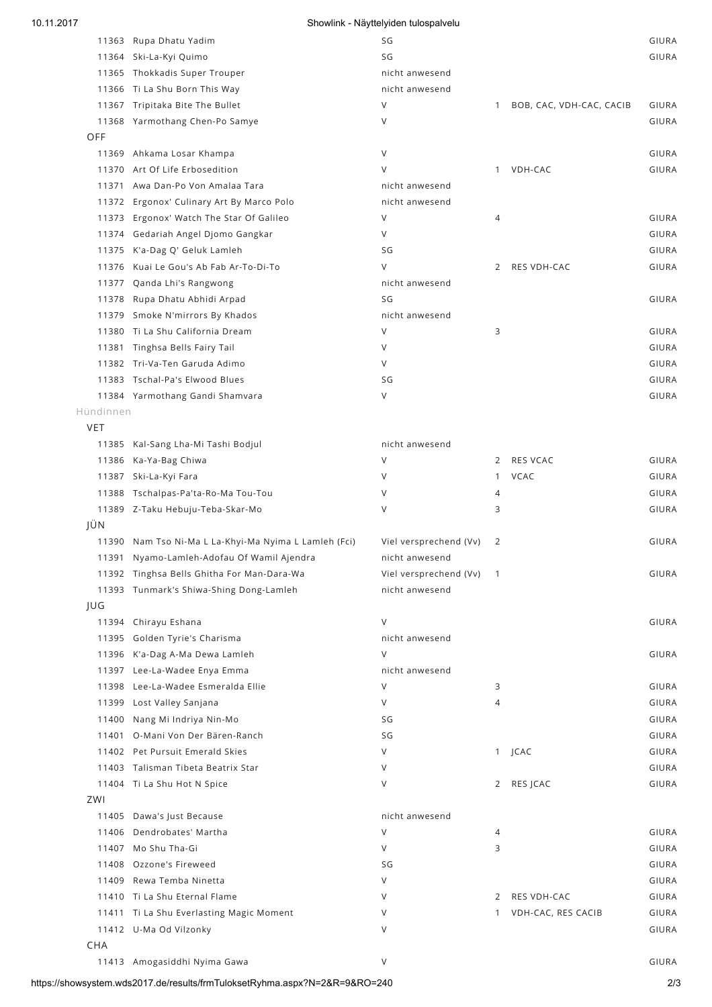| 10.11.2017 |                                                       | Showlink - Näyttelyiden tulospalvelu |                |                          |       |
|------------|-------------------------------------------------------|--------------------------------------|----------------|--------------------------|-------|
|            | 11363 Rupa Dhatu Yadim                                | SG                                   |                |                          | GIURA |
|            | 11364 Ski-La-Kyi Quimo                                | SG                                   |                |                          | GIURA |
|            | 11365 Thokkadis Super Trouper                         | nicht anwesend                       |                |                          |       |
|            | 11366 Ti La Shu Born This Way                         | nicht anwesend                       |                |                          |       |
|            | 11367 Tripitaka Bite The Bullet                       | V                                    | $\mathbf{1}$   | BOB, CAC, VDH-CAC, CACIB | GIURA |
|            | 11368 Yarmothang Chen-Po Samye                        | $\vee$                               |                |                          | GIURA |
| OFF        |                                                       |                                      |                |                          |       |
|            | 11369 Ahkama Losar Khampa                             | V                                    |                |                          | GIURA |
|            | 11370 Art Of Life Erbosedition                        | $\vee$                               |                | 1 VDH-CAC                | GIURA |
|            | 11371 Awa Dan-Po Von Amalaa Tara                      | nicht anwesend                       |                |                          |       |
|            | 11372 Ergonox' Culinary Art By Marco Polo             | nicht anwesend                       |                |                          |       |
|            | 11373 Ergonox' Watch The Star Of Galileo              | V                                    | 4              |                          | GIURA |
|            | 11374 Gedariah Angel Djomo Gangkar                    | $\vee$                               |                |                          | GIURA |
|            | 11375 K'a-Dag Q' Geluk Lamleh                         | SG                                   |                |                          | GIURA |
|            | 11376 Kuai Le Gou's Ab Fab Ar-To-Di-To                | $\vee$                               | 2              | RES VDH-CAC              | GIURA |
|            | 11377 Qanda Lhi's Rangwong                            | nicht anwesend                       |                |                          |       |
|            | 11378 Rupa Dhatu Abhidi Arpad                         | SG                                   |                |                          | GIURA |
|            | 11379 Smoke N'mirrors By Khados                       | nicht anwesend                       |                |                          |       |
|            | 11380 Ti La Shu California Dream                      | V                                    | 3              |                          | GIURA |
|            | 11381 Tinghsa Bells Fairy Tail                        | V                                    |                |                          | GIURA |
|            | 11382 Tri-Va-Ten Garuda Adimo                         | V                                    |                |                          | GIURA |
|            | 11383 Tschal-Pa's Elwood Blues                        | SG                                   |                |                          | GIURA |
|            | 11384 Yarmothang Gandi Shamvara                       | V                                    |                |                          | GIURA |
| Hündinnen  |                                                       |                                      |                |                          |       |
| <b>VET</b> |                                                       |                                      |                |                          |       |
|            | 11385 Kal-Sang Lha-Mi Tashi Bodjul                    | nicht anwesend                       |                |                          |       |
|            | 11386 Ka-Ya-Bag Chiwa                                 | V                                    | 2              | RES VCAC                 | GIURA |
|            | 11387 Ski-La-Kyi Fara                                 | V                                    | $\mathbf{1}$   | VCAC                     | GIURA |
|            | 11388 Tschalpas-Pa'ta-Ro-Ma Tou-Tou                   | V                                    | 4              |                          | GIURA |
|            | 11389 Z-Taku Hebuju-Teba-Skar-Mo                      | $\vee$                               | 3              |                          | GIURA |
| JÜN        |                                                       |                                      |                |                          |       |
|            | 11390 Nam Tso Ni-Ma L La-Khyi-Ma Nyima L Lamleh (Fci) | Viel versprechend (Vv)               | 2              |                          | GIURA |
|            | 11391 Nyamo-Lamleh-Adofau Of Wamil Ajendra            | nicht anwesend                       |                |                          |       |
|            | 11392 Tinghsa Bells Ghitha For Man-Dara-Wa            | Viel versprechend (Vv)               | $\overline{1}$ |                          | GIURA |
|            | 11393 Tunmark's Shiwa-Shing Dong-Lamleh               | nicht anwesend                       |                |                          |       |
| JUG        |                                                       |                                      |                |                          |       |
|            | 11394 Chirayu Eshana                                  | $\vee$                               |                |                          | GIURA |
|            | 11395 Golden Tyrie's Charisma                         | nicht anwesend                       |                |                          |       |
|            | 11396 K'a-Dag A-Ma Dewa Lamleh                        | $\vee$                               |                |                          | GIURA |
|            | 11397 Lee-La-Wadee Enya Emma                          | nicht anwesend                       |                |                          |       |
|            | 11398 Lee-La-Wadee Esmeralda Ellie                    | V                                    | 3              |                          | GIURA |
|            | 11399 Lost Valley Sanjana                             | V                                    | 4              |                          | GIURA |
|            | 11400 Nang Mi Indriya Nin-Mo                          | SG                                   |                |                          | GIURA |
|            | 11401 O-Mani Von Der Bären-Ranch                      | SG                                   |                |                          | GIURA |
|            | 11402 Pet Pursuit Emerald Skies                       | V                                    |                | 1 JCAC                   | GIURA |
|            | 11403 Talisman Tibeta Beatrix Star                    | $\vee$                               |                |                          | GIURA |
|            | 11404 Ti La Shu Hot N Spice                           | V                                    | 2              | RES JCAC                 | GIURA |
| ZWI        |                                                       |                                      |                |                          |       |
|            | 11405 Dawa's Just Because                             | nicht anwesend                       |                |                          |       |
|            | 11406 Dendrobates' Martha                             | $\vee$                               | 4              |                          | GIURA |
|            | 11407 Mo Shu Tha-Gi                                   | V                                    | 3              |                          | GIURA |
|            | 11408 Ozzone's Fireweed                               | SG                                   |                |                          | GIURA |
|            | 11409 Rewa Temba Ninetta                              | V                                    |                |                          | GIURA |
|            | 11410 Ti La Shu Eternal Flame                         | V                                    | 2              | RES VDH-CAC              | GIURA |
|            | 11411 Ti La Shu Everlasting Magic Moment              | V                                    | 1              | VDH-CAC, RES CACIB       | GIURA |
|            | 11412 U-Ma Od Vilzonky                                | V                                    |                |                          | GIURA |
|            |                                                       |                                      |                |                          |       |

Amogasiddhi Nyima Gawa V GIURA